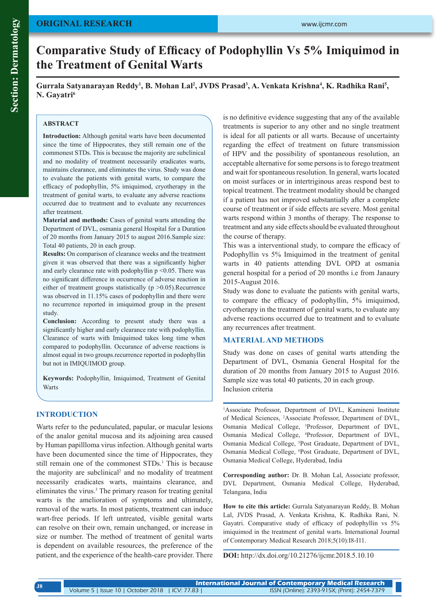# **ORIGINAL RESEARCH**

# **Comparative Study of Efficacy of Podophyllin Vs 5% Imiquimod in the Treatment of Genital Warts**

Gurrala Satyanarayan Reddy<sup>1</sup>, B. Mohan Lal<sup>2</sup>, JVDS Prasad<sup>3</sup>, A. Venkata Krishna<sup>4</sup>, K. Radhika Rani<sup>5</sup>, **N. Gayatri<sup>6</sup>**

#### **ABSTRACT**

**Introduction:** Although genital warts have been documented since the time of Hippocrates, they still remain one of the commonest STDs. This is because the majority are subclinical and no modality of treatment necessarily eradicates warts, maintains clearance, and eliminates the virus. Study was done to evaluate the patients with genital warts, to compare the efficacy of podophyllin, 5% imiquimod, cryotherapy in the treatment of genital warts, to evaluate any adverse reactions occurred due to treatment and to evaluate any recurrences after treatment.

**Material and methods:** Cases of genital warts attending the Department of DVL, osmania general Hospital for a Duration of 20 months from January 2015 to august 2016.Sample size: Total 40 patients, 20 in each group.

**Results:** On comparison of clearance weeks and the treatment given it was observed that there was a significantly higher and early clearance rate with podophyllin  $p \leq 0.05$ . There was no significant difference in occurrence of adverse reaction in either of treatment groups statistically ( $p > 0.05$ ).Recurrence was observed in 11.15% cases of podophyllin and there were no recurrence reported in imiquimod group in the present study.

**Conclusion:** According to present study there was a significantly higher and early clearance rate with podophyllin. Clearance of warts with Imiquimod takes long time when compared to podophyllin. Occurance of adverse reactions is almost equal in two groups.recurrence reported in podophyllin but not in IMIQUIMOD group.

**Keywords:** Podophyllin, Imiquimod, Treatment of Genital **Warts** 

#### **INTRODUCTION**

Warts refer to the pedunculated, papular, or macular lesions of the analor genital mucosa and its adjoining area caused by Human papillloma virus infection. Although genital warts have been documented since the time of Hippocrates, they still remain one of the commonest STDs.<sup>1</sup> This is because the majority are subclinical<sup>2</sup> and no modality of treatment necessarily eradicates warts, maintains clearance, and eliminates the virus.<sup>3</sup> The primary reason for treating genital warts is the amelioration of symptoms and ultimately, removal of the warts. In most patients, treatment can induce wart-free periods. If left untreated, visible genital warts can resolve on their own, remain unchanged, or increase in size or number. The method of treatment of genital warts is dependent on available resources, the preference of the patient, and the experience of the health-care provider. There

is no definitive evidence suggesting that any of the available treatments is superior to any other and no single treatment is ideal for all patients or all warts. Because of uncertainty regarding the effect of treatment on future transmission of HPV and the possibility of spontaneous resolution, an acceptable alternative for some persons is to forego treatment and wait for spontaneous resolution. In general, warts located on moist surfaces or in intertriginous areas respond best to topical treatment. The treatment modality should be changed if a patient has not improved substantially after a complete course of treatment or if side effects are severe. Most genital warts respond within 3 months of therapy. The response to treatment and any side effects should be evaluated throughout the course of therapy.

This was a interventional study, to compare the efficacy of Podophyllin vs 5% Imiquimod in the treatment of genital warts in 40 patients attending DVL OPD at osmania general hospital for a period of 20 months i.e from Janaury 2015-August 2016.

Study was done to evaluate the patients with genital warts, to compare the efficacy of podophyllin, 5% imiquimod, cryotherapy in the treatment of genital warts, to evaluate any adverse reactions occurred due to treatment and to evaluate any recurrences after treatment.

#### **MATERIAL AND METHODS**

Study was done on cases of genital warts attending the Department of DVL, Osmania General Hospital for the duration of 20 months from January 2015 to August 2016. Sample size was total 40 patients, 20 in each group. Inclusion criteria

1 Associate Professor, Department of DVL, Kamineni Institute of Medical Sciences, 2 Associate Professor, Department of DVL, Osmania Medical College, 3 Professor, Department of DVL, Osmania Medical College, 4 Professor, Department of DVL, Osmania Medical College, <sup>5</sup> Post Graduate, Department of DVL, Osmania Medical College, <sup>6</sup>Post Graduate, Department of DVL, Osmania Medical College, Hyderabad, India

**Corresponding author:** Dr. B. Mohan Lal, Associate professor, DVL Department, Osmania Medical College, Hyderabad, Telangana, India

**How to cite this article:** Gurrala Satyanarayan Reddy, B. Mohan Lal, JVDS Prasad, A. Venkata Krishna, K. Radhika Rani, N. Gayatri. Comparative study of efficacy of podophyllin vs 5% imiquimod in the treatment of genital warts. International Journal of Contemporary Medical Research 2018;5(10):I8-I11.

**DOI:** http://dx.doi.org/10.21276/ijcmr.2018.5.10.10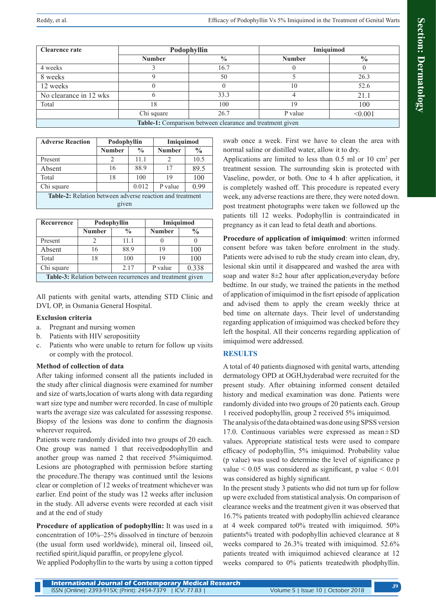| <b>Clearence rate</b>                                     | Podophyllin   |               | Imiguimod     |               |  |  |
|-----------------------------------------------------------|---------------|---------------|---------------|---------------|--|--|
|                                                           | <b>Number</b> | $\frac{0}{0}$ | <b>Number</b> | $\frac{0}{0}$ |  |  |
| 4 weeks                                                   |               | 16.7          |               |               |  |  |
| 8 weeks                                                   |               | 50            |               | 26.3          |  |  |
| 12 weeks                                                  |               |               | 10            | 52.6          |  |  |
| No clearance in 12 wks                                    |               | 33.3          |               | 21.1          |  |  |
| Total                                                     | 18            | 100           | 19            | 100           |  |  |
|                                                           | Chi square    | 26.7          | P value       | < 0.001       |  |  |
| Table-1: Comparison between clearance and treatment given |               |               |               |               |  |  |

| <b>Adverse Reaction</b>                                  | Podophyllin   |               | Imiguimod     |               |  |  |  |
|----------------------------------------------------------|---------------|---------------|---------------|---------------|--|--|--|
|                                                          | <b>Number</b> | $\frac{0}{0}$ | <b>Number</b> | $\frac{0}{0}$ |  |  |  |
| Present                                                  | 2             | 11.1          | 2             | 10.5          |  |  |  |
| Absent                                                   | 16            | 88.9          | 17            | 89.5          |  |  |  |
| Total                                                    | 18            | 100           | 19            | 100           |  |  |  |
| Chi square                                               |               | 0.012         | P value       | 0.99          |  |  |  |
| Table-2: Relation between adverse reaction and treatment |               |               |               |               |  |  |  |
| given                                                    |               |               |               |               |  |  |  |

| Recurrence                                                       | Podophyllin   |               | Imiguimod     |               |  |  |
|------------------------------------------------------------------|---------------|---------------|---------------|---------------|--|--|
|                                                                  | <b>Number</b> | $\frac{0}{0}$ | <b>Number</b> | $\frac{0}{0}$ |  |  |
| Present                                                          |               | 11.1          |               |               |  |  |
| Absent                                                           | 16            | 88.9          | 19            | 100           |  |  |
| Total                                                            | 18            | 100           | 19            | 100           |  |  |
| Chi square                                                       |               | 2.17          | P value       | 0.338         |  |  |
| <b>Table-3:</b> Relation between recurrences and treatment given |               |               |               |               |  |  |

All patients with genital warts, attending STD Clinic and DVL OP, in Osmania General Hospital.

## **Exclusion criteria**

- a. Pregnant and nursing women
- b. Patients with HIV seropositiity
- c. Patients who were unable to return for follow up visits or comply with the protocol.

## **Method of collection of data**

After taking informed consent all the patients included in the study after clinical diagnosis were examined for number and size of warts,location of warts along with data regarding wart size type and number were recorded. In case of multiple warts the average size was calculated for assessing response. Biopsy of the lesions was done to confirm the diagnosis wherever required**.**

Patients were randomly divided into two groups of 20 each. One group was named 1 that receivedpodophyllin and another group was named 2 that received 5%imiquimod. Lesions are photographed with permission before starting the procedure.The therapy was continued until the lesions clear or completion of 12 weeks of treatment whichever was earlier. End point of the study was 12 weeks after inclusion in the study. All adverse events were recorded at each visit and at the end of study

**Procedure of application of podophyllin:** It was used in a concentration of 10%–25% dissolved in tincture of benzoin (the usual form used worldwide), mineral oil, linseed oil, rectified spirit,liquid paraffin, or propylene glycol.

We applied Podophyllin to the warts by using a cotton tipped

swab once a week. First we have to clean the area with normal saline or distilled water, allow it to dry.

Applications are limited to less than 0.5 ml or 10 cm<sup>2</sup> per treatment session. The surrounding skin is protected with Vaseline, powder, or both. One to 4 h after application, it is completely washed off. This procedure is repeated every week, any adverse reactions are there, they were noted down. post treatment photographs were taken we followed up the patients till 12 weeks. Podophyllin is contraindicated in pregnancy as it can lead to fetal death and abortions.

**Procedure of application of imiquimod**: written informed consent before was taken before enrolment in the study. Patients were advised to rub the study cream into clean, dry, lesional skin until it disappeared and washed the area with soap and water 8±2 hour after application,everyday before bedtime. In our study, we trained the patients in the method of application of imiquimod in the fisrt episode of application and advised them to apply the cream weekly thrice at bed time on alternate days. Their level of understanding regarding application of imiquimod was checked before they left the hospital. All their concerns regarding application of imiquimod were addressed.

## **RESULTS**

A total of 40 patients diagnosed with genital warts, attending dermatology OPD at OGH,hyderabad were recruited for the present study. After obtaining informed consent detailed history and medical examination was done. Patients were randomly divided into two groups of 20 patients each. Group 1 received podophyllin, group 2 received 5% imiquimod.

The analysis of the data obtained was done using SPSS version 17.0. Continuous variables were expressed as mean±SD values. Appropriate statistical tests were used to compare efficacy of podophyllin, 5% imiquimod. Probability value (p value) was used to determine the level of significance p value  $\leq 0.05$  was considered as significant, p value  $\leq 0.01$ was considered as highly significant.

In the present study 3 patients who did not turn up for follow up were excluded from statistical analysis. On comparison of clearance weeks and the treatment given it was observed that 16.7% patients treated with podophyllin achieved clearance at 4 week compared to0% treated with imiquimod. 50% patients% treated with podophyllin achieved clearance at 8 weeks compared to 26.3% treated with imiquimod. 52.6% patients treated with imiquimod achieved clearance at 12 weeks compared to 0% patients treatedwith phodphyllin.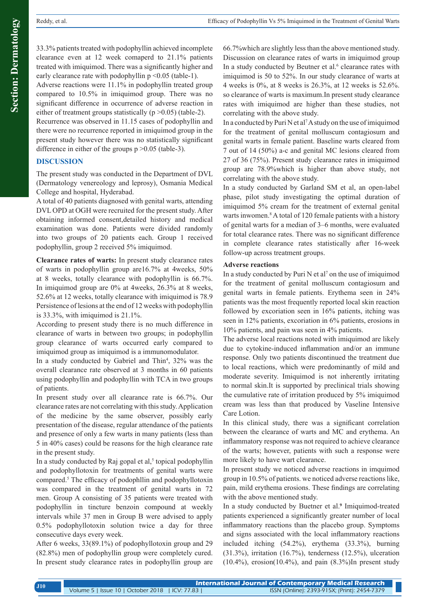Adverse reactions were 11.1% in podophyllin treated group compared to 10.5% in imiquimod group. There was no significant difference in occurrence of adverse reaction in either of treatment groups statistically ( $p > 0.05$ ) (table-2).

Recurrence was observed in 11.15 cases of podophyllin and there were no recurrence reported in imiquimod group in the present study however there was no statistically significant difference in either of the groups p > 0.05 (table-3).

## **DISCUSSION**

The present study was conducted in the Department of DVL (Dermatology venereology and leprosy), Osmania Medical College and hospital, Hyderabad.

A total of 40 patients diagnosed with genital warts, attending DVL OPD at OGH were recruited for the present study. After obtaining informed consent,detailed history and medical examination was done. Patients were divided randomly into two groups of 20 patients each. Group 1 received podophyllin, group 2 received 5% imiquimod.

**Clearance rates of warts:** In present study clearance rates of warts in podophyllin group are16.7% at 4weeks, 50% at 8 weeks, totally clearance with podophyllin is 66.7%. In imiquimod group are 0% at 4weeks, 26.3% at 8 weeks, 52.6% at 12 weeks, totally clearance with imiquimod is 78.9 Persistence of lesions at the end of 12 weeks with podophyllin is 33.3%, with imiquimod is 21.1%.

According to present study there is no much difference in clearance of warts in between two groups; in podophyllin group clearance of warts occurred early compared to imiquimod group as imiquimod is a immunomodulator.

In a study conducted by Gabriel and Thin<sup>4</sup>, 32% was the overall clearance rate observed at 3 months in 60 patients using podophyllin and podophyllin with TCA in two groups of patients.

In present study over all clearance rate is 66.7%. Our clearance rates are not correlating with this study. Application of the medicine by the same observer, possibly early presentation of the disease, regular attendance of the patients and presence of only a few warts in many patients (less than 5 in 40% cases) could be reasons for the high clearance rate in the present study.

In a study conducted by Raj gopal et  $al$ ,<sup>5</sup> topical podophyllin and podophyllotoxin for treatments of genital warts were compared.<sup>5</sup> The efficacy of podophllin and podophyllotoxin was compared in the treatment of genital warts in 72 men. Group A consisting of 35 patients were treated with podophyllin in tincture benzoin compound at weekly intervals while 37 men in Group B were advised to apply 0.5% podophyllotoxin solution twice a day for three consecutive days every week.

After 6 weeks, 33(89.1%) of podophyllotoxin group and 29 (82.8%) men of podophyllin group were completely cured. In present study clearance rates in podophyllin group are

66.7%which are slightly less than the above mentioned study. Discussion on clearance rates of warts in imiquimod group In a study conducted by Beutner et al.<sup>6</sup> clearance rates with imiquimod is 50 to 52%. In our study clearance of warts at 4 weeks is 0%, at 8 weeks is 26.3%, at 12 weeks is 52.6%. so clearance of warts is maximum.In present study clearance rates with imiquimod are higher than these studies, not correlating with the above study.

In a conducted by Puri N et al<sup>7</sup> A study on the use of imiquimod for the treatment of genital molluscum contagiosum and genital warts in female patient. Baseline warts cleared from 7 out of 14 (50%) a-c and genital MC lesions cleared from 27 of 36 (75%). Present study clearance rates in imiquimod group are 78.9%which is higher than above study, not correlating with the above study.

In a study conducted by Garland SM et al, an open-label phase, pilot study investigating the optimal duration of imiquimod 5% cream for the treatment of external genital warts inwomen.<sup>8</sup> A total of 120 female patients with a history of genital warts for a median of 3–6 months, were evaluated for total clearance rates. There was no significant difference in complete clearance rates statistically after 16‑week follow-up across treatment groups.

#### **Adverse reactions**

In a study conducted by Puri  $N$  et al<sup>7</sup> on the use of imiquimod for the treatment of genital molluscum contagiosum and genital warts in female patients. Erythema seen in 24% patients was the most frequently reported local skin reaction followed by excoriation seen in 16% patients, itching was seen in 12% patients, excoriation in 6% patients, erosions in 10% patients, and pain was seen in 4% patients.

The adverse local reactions noted with imiquimod are likely due to cytokine-induced inflammation and/or an immune response. Only two patients discontinued the treatment due to local reactions, which were predominantly of mild and moderate severity. Imiquimod is not inherently irritating to normal skin.It is supported by preclinical trials showing the cumulative rate of irritation produced by 5% imiquimod cream was less than that produced by Vaseline Intensive Care Lotion.

In this clinical study, there was a significant correlation between the clearance of warts and MC and erythema. An inflammatory response was not required to achieve clearance of the warts; however, patients with such a response were more likely to have wart clearance.

In present study we noticed adverse reactions in imquimod group in 10.5% of patients. we noticed adverse reactions like, pain, mild erythema erosions. These findings are correlating with the above mentioned study.

In a study conducted by Buetner et al.<sup>9</sup> Imiquimod-treated patients experienced a significantly greater number of local inflammatory reactions than the placebo group. Symptoms and signs associated with the local inflammatory reactions included itching (54.2%), erythema (33.3%), burning  $(31.3\%)$ , irritation  $(16.7\%)$ , tenderness  $(12.5\%)$ , ulceration  $(10.4\%)$ , erosion $(10.4\%)$ , and pain  $(8.3\%)$ In present study